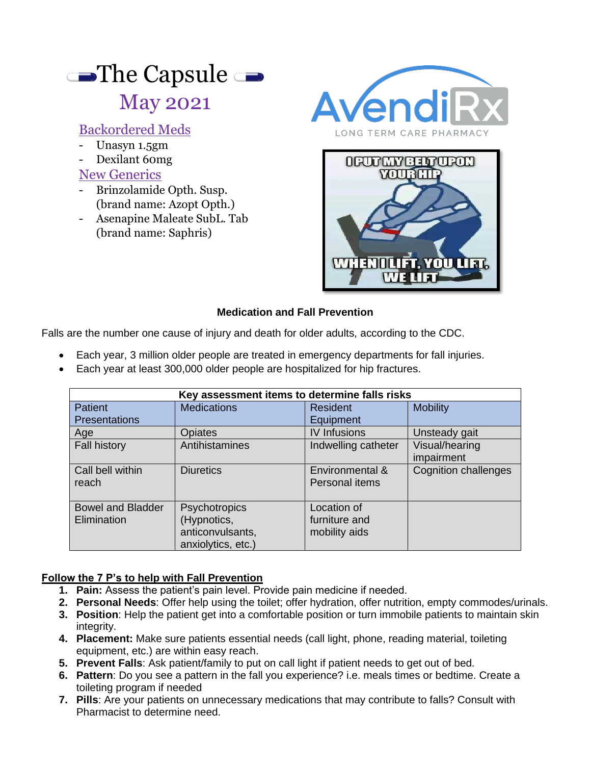# The Capsule  $\rightarrow$ May 2021

## Backordered Meds

- Unasyn 1.5gm
- Dexilant 60mg

#### New Generics

- Brinzolamide Opth. Susp. (brand name: Azopt Opth.)
- Asenapine Maleate SubL. Tab (brand name: Saphris)





#### **Medication and Fall Prevention**

Falls are the number one cause of injury and death for older adults, according to the CDC.

- Each year, 3 million older people are treated in emergency departments for fall injuries.
- Each year at least 300,000 older people are hospitalized for hip fractures.

| Key assessment items to determine falls risks |                    |                     |                             |
|-----------------------------------------------|--------------------|---------------------|-----------------------------|
| <b>Patient</b>                                | <b>Medications</b> | <b>Resident</b>     | <b>Mobility</b>             |
| <b>Presentations</b>                          |                    | Equipment           |                             |
| Age                                           | <b>Opiates</b>     | <b>IV Infusions</b> | Unsteady gait               |
| <b>Fall history</b>                           | Antihistamines     | Indwelling catheter | Visual/hearing              |
|                                               |                    |                     | impairment                  |
| Call bell within                              | <b>Diuretics</b>   | Environmental &     | <b>Cognition challenges</b> |
| reach                                         |                    | Personal items      |                             |
|                                               |                    |                     |                             |
| <b>Bowel and Bladder</b>                      | Psychotropics      | Location of         |                             |
| Elimination                                   | (Hypnotics,        | furniture and       |                             |
|                                               | anticonvulsants,   | mobility aids       |                             |
|                                               | anxiolytics, etc.) |                     |                             |

#### **Follow the 7 P's to help with Fall Prevention**

- **1. Pain:** Assess the patient's pain level. Provide pain medicine if needed.
- **2. Personal Needs**: Offer help using the toilet; offer hydration, offer nutrition, empty commodes/urinals.
- **3. Position**: Help the patient get into a comfortable position or turn immobile patients to maintain skin integrity.
- **4. Placement:** Make sure patients essential needs (call light, phone, reading material, toileting equipment, etc.) are within easy reach.
- **5. Prevent Falls**: Ask patient/family to put on call light if patient needs to get out of bed.
- **6. Pattern**: Do you see a pattern in the fall you experience? i.e. meals times or bedtime. Create a toileting program if needed
- **7. Pills**: Are your patients on unnecessary medications that may contribute to falls? Consult with Pharmacist to determine need.